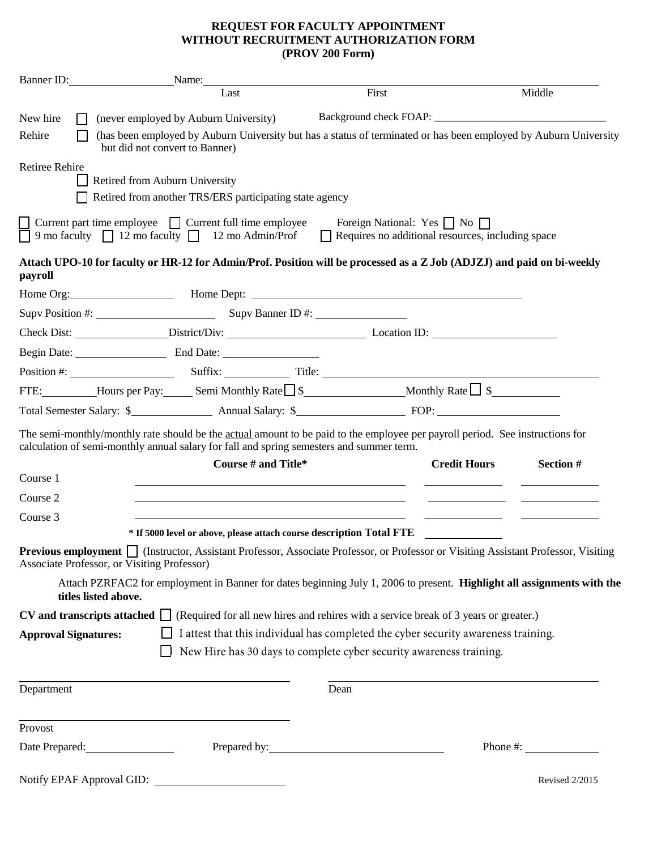## **REQUEST FOR FACULTY APPOINTMENT WITHOUT RECRUITMENT AUTHORIZATION FORM (PROV 200 Form)**

|                             | Banner ID:<br>Name:                                                                                                                                |                     |                                                                                                                               |                                                                                                                                            |
|-----------------------------|----------------------------------------------------------------------------------------------------------------------------------------------------|---------------------|-------------------------------------------------------------------------------------------------------------------------------|--------------------------------------------------------------------------------------------------------------------------------------------|
|                             |                                                                                                                                                    | Last                | First                                                                                                                         | Middle                                                                                                                                     |
| New hire                    | (never employed by Auburn University)                                                                                                              |                     |                                                                                                                               |                                                                                                                                            |
| Rehire                      | (has been employed by Auburn University but has a status of terminated or has been employed by Auburn University<br>but did not convert to Banner) |                     |                                                                                                                               |                                                                                                                                            |
| <b>Retiree Rehire</b>       |                                                                                                                                                    |                     |                                                                                                                               |                                                                                                                                            |
|                             | Retired from Auburn University                                                                                                                     |                     |                                                                                                                               |                                                                                                                                            |
|                             | Retired from another TRS/ERS participating state agency                                                                                            |                     |                                                                                                                               |                                                                                                                                            |
|                             | $\Box$ Current part time employee $\Box$ Current full time employee<br>$\Box$ 9 mo faculty $\Box$ 12 mo faculty $\Box$ 12 mo Admin/Prof            |                     | Foreign National: Yes $\Box$ No $\Box$<br>Requires no additional resources, including space                                   |                                                                                                                                            |
| payroll                     |                                                                                                                                                    |                     |                                                                                                                               | Attach UPO-10 for faculty or HR-12 for Admin/Prof. Position will be processed as a Z Job (ADJZJ) and paid on bi-weekly                     |
|                             |                                                                                                                                                    |                     | Home Org: <b>Mome Dept:</b> Mome Dept: <b>Mome Dept: Mome Dept: Mome Dept: Mome</b> Dept:                                     |                                                                                                                                            |
|                             | Supv Position #: Supv Banner ID #:                                                                                                                 |                     |                                                                                                                               |                                                                                                                                            |
|                             |                                                                                                                                                    |                     |                                                                                                                               |                                                                                                                                            |
|                             | Begin Date: End Date:                                                                                                                              |                     |                                                                                                                               |                                                                                                                                            |
|                             |                                                                                                                                                    |                     |                                                                                                                               |                                                                                                                                            |
|                             |                                                                                                                                                    |                     |                                                                                                                               |                                                                                                                                            |
|                             |                                                                                                                                                    |                     |                                                                                                                               |                                                                                                                                            |
| Course 1                    | calculation of semi-monthly annual salary for fall and spring semesters and summer term.                                                           | Course # and Title* | The semi-monthly/monthly rate should be the actual amount to be paid to the employee per payroll period. See instructions for | <b>Credit Hours</b><br>Section #                                                                                                           |
| Course 2                    |                                                                                                                                                    |                     |                                                                                                                               |                                                                                                                                            |
| Course 3                    |                                                                                                                                                    |                     |                                                                                                                               |                                                                                                                                            |
|                             |                                                                                                                                                    |                     | * If 5000 level or above, please attach course description Total FTE                                                          |                                                                                                                                            |
|                             | Associate Professor, or Visiting Professor)                                                                                                        |                     |                                                                                                                               | Previous employment <i>n</i> (Instructor, Assistant Professor, Associate Professor, or Professor or Visiting Assistant Professor, Visiting |
|                             | titles listed above.                                                                                                                               |                     |                                                                                                                               | Attach PZRFAC2 for employment in Banner for dates beginning July 1, 2006 to present. Highlight all assignments with the                    |
|                             |                                                                                                                                                    |                     | CV and transcripts attached $\Box$ (Required for all new hires and rehires with a service break of 3 years or greater.)       |                                                                                                                                            |
| <b>Approval Signatures:</b> |                                                                                                                                                    |                     | I attest that this individual has completed the cyber security awareness training.                                            |                                                                                                                                            |
|                             | l 1                                                                                                                                                |                     | New Hire has 30 days to complete cyber security awareness training.                                                           |                                                                                                                                            |
| Department                  | <u> 1989 - Johann Barn, amerikansk politiker (d. 1989)</u>                                                                                         |                     | Dean                                                                                                                          |                                                                                                                                            |
| Provost                     | the control of the control of the control of the control of the control of the control of                                                          |                     |                                                                                                                               |                                                                                                                                            |
|                             | Date Prepared:                                                                                                                                     |                     |                                                                                                                               | Phone $\#$ :                                                                                                                               |
|                             | Notify EPAF Approval GID:                                                                                                                          |                     |                                                                                                                               | Revised 2/2015                                                                                                                             |